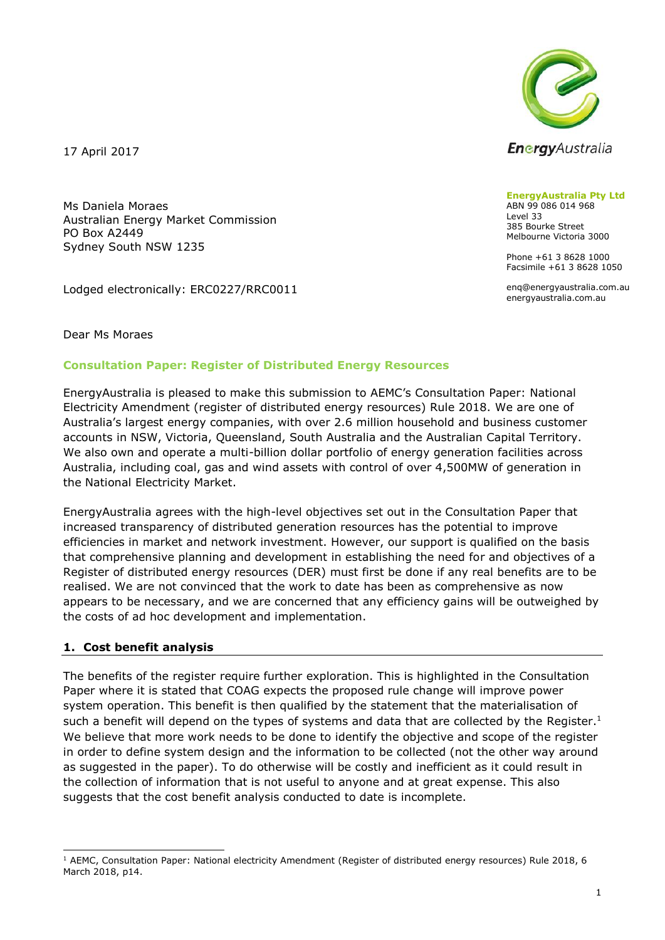

17 April 2017

Ms Daniela Moraes Australian Energy Market Commission PO Box A2449 Sydney South NSW 1235

Lodged electronically: ERC0227/RRC0011

**EnergyAustralia Pty Ltd** ABN 99 086 014 968 Level 33 385 Bourke Street Melbourne Victoria 3000

Phone +61 3 8628 1000 Facsimile +61 3 8628 1050

enq@energyaustralia.com.au energyaustralia.com.au

Dear Ms Moraes

## **Consultation Paper: Register of Distributed Energy Resources**

EnergyAustralia is pleased to make this submission to AEMC's Consultation Paper: National Electricity Amendment (register of distributed energy resources) Rule 2018. We are one of Australia's largest energy companies, with over 2.6 million household and business customer accounts in NSW, Victoria, Queensland, South Australia and the Australian Capital Territory. We also own and operate a multi-billion dollar portfolio of energy generation facilities across Australia, including coal, gas and wind assets with control of over 4,500MW of generation in the National Electricity Market.

EnergyAustralia agrees with the high-level objectives set out in the Consultation Paper that increased transparency of distributed generation resources has the potential to improve efficiencies in market and network investment. However, our support is qualified on the basis that comprehensive planning and development in establishing the need for and objectives of a Register of distributed energy resources (DER) must first be done if any real benefits are to be realised. We are not convinced that the work to date has been as comprehensive as now appears to be necessary, and we are concerned that any efficiency gains will be outweighed by the costs of ad hoc development and implementation.

### **1. Cost benefit analysis**

The benefits of the register require further exploration. This is highlighted in the Consultation Paper where it is stated that COAG expects the proposed rule change will improve power system operation. This benefit is then qualified by the statement that the materialisation of such a benefit will depend on the types of systems and data that are collected by the Register.<sup>1</sup> We believe that more work needs to be done to identify the objective and scope of the register in order to define system design and the information to be collected (not the other way around as suggested in the paper). To do otherwise will be costly and inefficient as it could result in the collection of information that is not useful to anyone and at great expense. This also suggests that the cost benefit analysis conducted to date is incomplete.

<sup>-</sup><sup>1</sup> AEMC, Consultation Paper: National electricity Amendment (Register of distributed energy resources) Rule 2018, 6 March 2018, p14.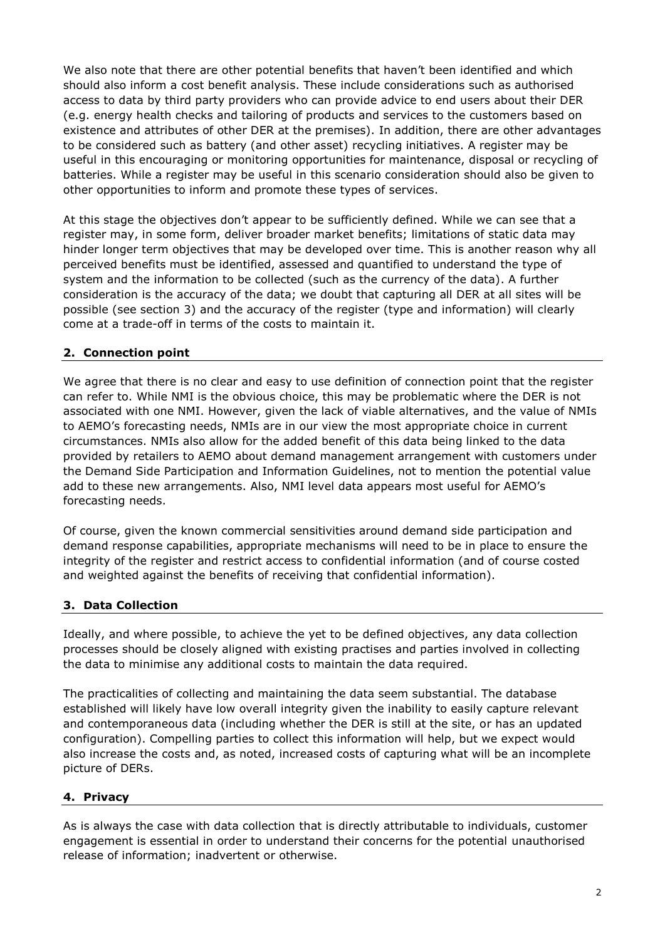We also note that there are other potential benefits that haven't been identified and which should also inform a cost benefit analysis. These include considerations such as authorised access to data by third party providers who can provide advice to end users about their DER (e.g. energy health checks and tailoring of products and services to the customers based on existence and attributes of other DER at the premises). In addition, there are other advantages to be considered such as battery (and other asset) recycling initiatives. A register may be useful in this encouraging or monitoring opportunities for maintenance, disposal or recycling of batteries. While a register may be useful in this scenario consideration should also be given to other opportunities to inform and promote these types of services.

At this stage the objectives don't appear to be sufficiently defined. While we can see that a register may, in some form, deliver broader market benefits; limitations of static data may hinder longer term objectives that may be developed over time. This is another reason why all perceived benefits must be identified, assessed and quantified to understand the type of system and the information to be collected (such as the currency of the data). A further consideration is the accuracy of the data; we doubt that capturing all DER at all sites will be possible (see section 3) and the accuracy of the register (type and information) will clearly come at a trade-off in terms of the costs to maintain it.

# **2. Connection point**

We agree that there is no clear and easy to use definition of connection point that the register can refer to. While NMI is the obvious choice, this may be problematic where the DER is not associated with one NMI. However, given the lack of viable alternatives, and the value of NMIs to AEMO's forecasting needs, NMIs are in our view the most appropriate choice in current circumstances. NMIs also allow for the added benefit of this data being linked to the data provided by retailers to AEMO about demand management arrangement with customers under the Demand Side Participation and Information Guidelines, not to mention the potential value add to these new arrangements. Also, NMI level data appears most useful for AEMO's forecasting needs.

Of course, given the known commercial sensitivities around demand side participation and demand response capabilities, appropriate mechanisms will need to be in place to ensure the integrity of the register and restrict access to confidential information (and of course costed and weighted against the benefits of receiving that confidential information).

### **3. Data Collection**

Ideally, and where possible, to achieve the yet to be defined objectives, any data collection processes should be closely aligned with existing practises and parties involved in collecting the data to minimise any additional costs to maintain the data required.

The practicalities of collecting and maintaining the data seem substantial. The database established will likely have low overall integrity given the inability to easily capture relevant and contemporaneous data (including whether the DER is still at the site, or has an updated configuration). Compelling parties to collect this information will help, but we expect would also increase the costs and, as noted, increased costs of capturing what will be an incomplete picture of DERs.

# **4. Privacy**

As is always the case with data collection that is directly attributable to individuals, customer engagement is essential in order to understand their concerns for the potential unauthorised release of information; inadvertent or otherwise.